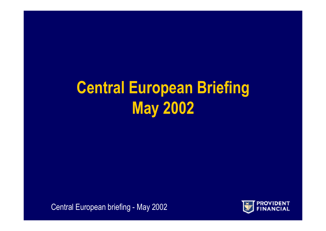# **Central European Briefing May 2002**

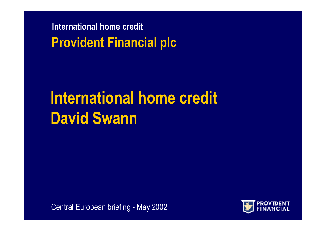**International home credit Provident Financial plc**

# **International home credit David Swann**

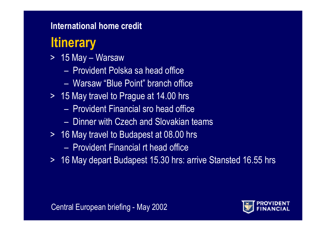### **Itinerary**

- > 15 May Warsaw
	- Provident Polska sa head office
	- –Warsaw "Blue Point" branch office
- > 15 May travel to Prague at 14.00 hrs
	- Provident Financial sro head office
	- –Dinner with Czech and Slovakian teams
- > 16 May travel to Budapest at 08.00 hrs
	- Provident Financial rt head office
- > 16 May depart Budapest 15.30 hrs: arrive Stansted 16.55 hrs

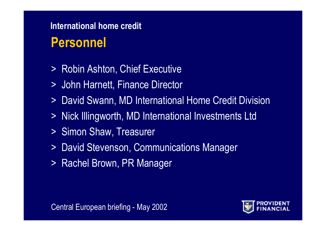### **Personnel International home credit**

- > Robin Ashton, Chief Executive
- > John Harnett, Finance Director
- > David Swann, MD International Home Credit Division
- > Nick Illingworth, MD International Investments Ltd
- > Simon Shaw, Treasurer
- > David Stevenson, Communications Manager
- > Rachel Brown, PR Manager

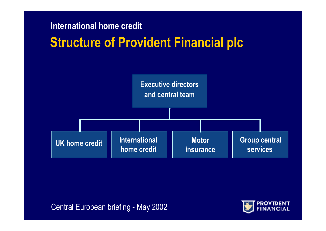#### **Structure of Provident Financial plc International home credit**



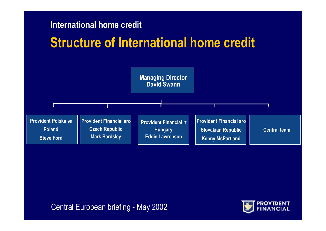#### **Structure of International home credit**



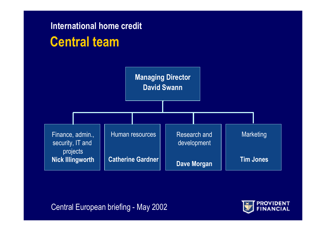#### **Central team International home credit**



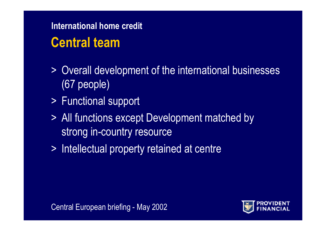### **Central team**

- > Overall development of the international businesses (67 people)
- > Functional support
- > All functions except Development matched by strong in-country resource
- > Intellectual property retained at centre

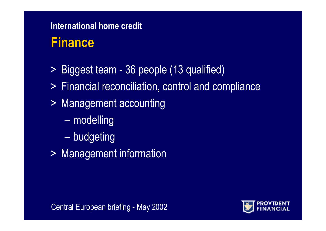#### **Finance**

- > Biggest team 36 people (13 qualified)
- > Financial reconciliation, control and compliance
- > Management accounting
	- modelling
	- budgeting
- > Management information

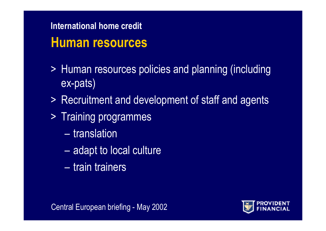#### **Human resources International home credit**

- > Human resources policies and planning (including ex-pats)
- > Recruitment and development of staff and agents
- > Training programmes
	- translation
	- adapt to local culture
	- train trainers

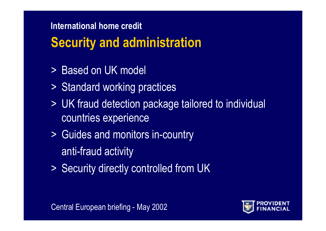### **Security and administration**

- > Based on UK model
- > Standard working practices
- > UK fraud detection package tailored to individual countries experience
- > Guides and monitors in-country anti-fraud activity
- > Security directly controlled from UK

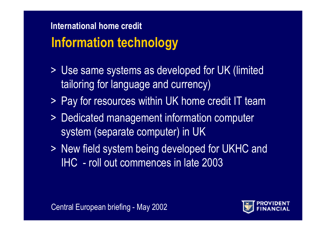### **Information technology International home credit**

- > Use same systems as developed for UK (limited tailoring for language and currency)
- > Pay for resources within UK home credit IT team
- > Dedicated management information computer system (separate computer) in UK
- > New field system being developed for UKHC and IHC - roll out commences in late 2003

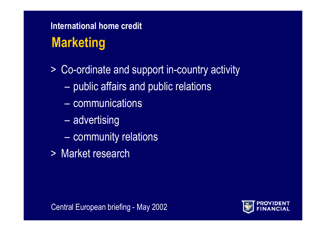### **Marketing International home credit**

> Co-ordinate and support in-country activity

- $-$  public affairs and public relations
- –communications
- advertising
- $-$  community relations
- > Market research

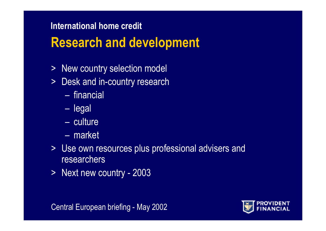### **Research and development**

- > New country selection model
- $>$ Desk and in-country research
	- financial
	- legal
	- culture
	- market
- > Use own resources plus professional advisers and researchers
- > Next new country 2003

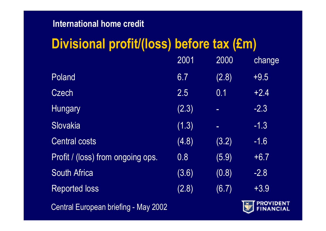### **Divisional profit/(loss) before tax (£m)**

|                                             | 2001  | 2000           | change         |
|---------------------------------------------|-------|----------------|----------------|
| Poland                                      | 6.7   | (2.8)          | $+9.5$         |
| <b>Czech</b>                                | 2.5   | 0.1            | $+2.4$         |
| <b>Hungary</b>                              | (2.3) | $\equiv$       | $-2.3$         |
| <b>Slovakia</b>                             | (1.3) | $\blacksquare$ | $-1.3$         |
| <b>Central costs</b>                        | (4.8) | (3.2)          | $-1.6$         |
| Profit / (loss) from ongoing ops.           | 0.8   | (5.9)          | $+6.7$         |
| <b>South Africa</b>                         | (3.6) | (0.8)          | $-2.8$         |
| <b>Reported loss</b>                        | (2.8) | (6.7)          | $+3.9$         |
| <b>Central European briefing - May 2002</b> |       |                | <b>EINANCI</b> |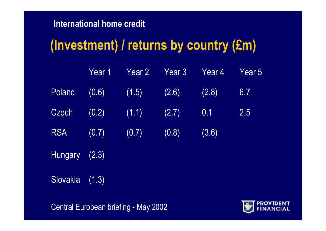#### **(Investment) / returns by country (£m)**

|               |       |                         | Year 1 Year 2 Year 3 Year 4 |       | $\sqrt{2}$ Year 5 |
|---------------|-------|-------------------------|-----------------------------|-------|-------------------|
| Poland        |       | $(0.6)$ $(1.5)$ $(2.6)$ |                             | (2.8) | 6.7               |
| Czech         |       | $(0.2)$ $(1.1)$         | (2.7)                       | 0.1   | 2.5               |
| <b>RSA</b>    | (0.7) | (0.7)                   | (0.8)                       | (3.6) |                   |
| Hungary (2.3) |       |                         |                             |       |                   |

Slovakia (1.3)

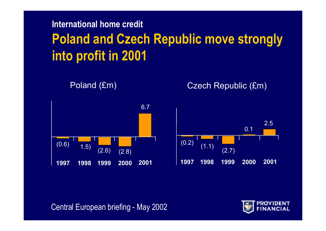#### **International home credit Poland and Czech Republic move strongly into profit in 2001**



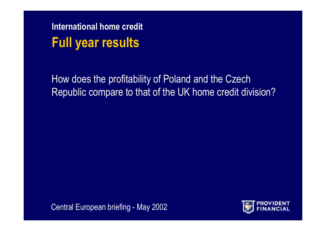**International home credit Full year results**

How does the profitability of Poland and the Czech Republic compare to that of the UK home credit division?

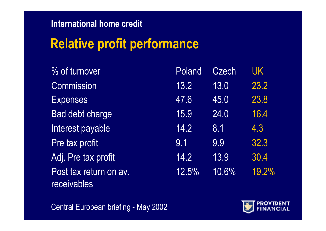## **Relative profit performance**

| % of turnover                         | Poland | <b>Czech</b> | <b>UK</b> |
|---------------------------------------|--------|--------------|-----------|
| <b>Commission</b>                     | 13.2   | 13.0         | 23.2      |
| <b>Expenses</b>                       | 47.6   | 45.0         | 23.8      |
| Bad debt charge                       | 15.9   | 24.0         | 16.4      |
| Interest payable                      | 14.2   | 8.1          | 4.3       |
| Pre tax profit                        | 9.1    | 9.9          | 32.3      |
| Adj. Pre tax profit                   | 14.2   | 13.9         | 30.4      |
| Post tax return on av.<br>receivables | 12.5%  | 10.6%        | 19.2%     |

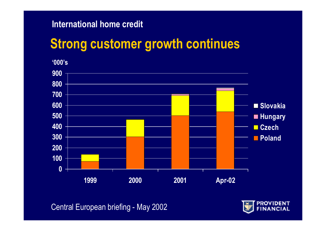## **Strong customer growth continues**